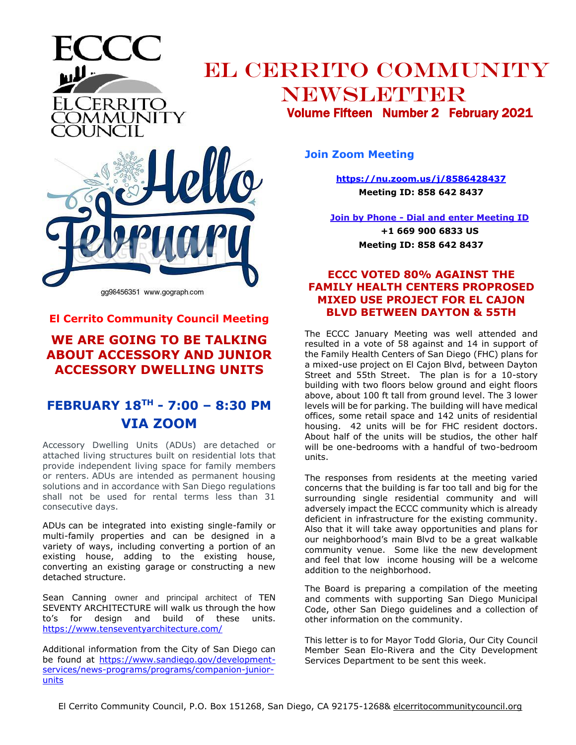



.Cerrito

ĀMUNITY

**El Cerrito Community Council Meeting**

## **WE ARE GOING TO BE TALKING ABOUT ACCESSORY AND JUNIOR ACCESSORY DWELLING UNITS**

## **FEBRUARY 18TH - 7:00 – 8:30 PM VIA ZOOM**

Accessory Dwelling Units (ADUs) are detached or attached living structures built on residential lots that provide independent living space for family members or renters. ADUs are intended as permanent housing solutions and in accordance with San Diego regulations shall not be used for rental terms less than 31 consecutive days.

ADUs can be integrated into existing single-family or multi-family properties and can be designed in a variety of ways, including converting a portion of an existing house, adding to the existing house, converting an existing garage or constructing a new detached structure.

Sean Canning owner and principal architect of TEN SEVENTY ARCHITECTURE will walk us through the how to's for design and build of these units. <https://www.tenseventyarchitecture.com/>

Additional information from the City of San Diego can be found at [https://www.sandiego.gov/development](https://www.sandiego.gov/development-services/news-programs/programs/companion-junior-units)[services/news-programs/programs/companion-junior](https://www.sandiego.gov/development-services/news-programs/programs/companion-junior-units)[units](https://www.sandiego.gov/development-services/news-programs/programs/companion-junior-units)

**Join Zoom Meeting**

**<https://nu.zoom.us/j/8586428437> Meeting ID: 858 642 8437**

**Join by Phone - Dial and enter Meeting ID**

**+1 669 900 6833 US Meeting ID: 858 642 8437**

## **ECCC VOTED 80% AGAINST THE FAMILY HEALTH CENTERS PROPROSED MIXED USE PROJECT FOR EL CAJON BLVD BETWEEN DAYTON & 55TH**

The ECCC January Meeting was well attended and resulted in a vote of 58 against and 14 in support of the Family Health Centers of San Diego (FHC) plans for a mixed-use project on El Cajon Blvd, between Dayton Street and 55th Street. The plan is for a 10-story building with two floors below ground and eight floors above, about 100 ft tall from ground level. The 3 lower levels will be for parking. The building will have medical offices, some retail space and 142 units of residential housing. 42 units will be for FHC resident doctors. About half of the units will be studios, the other half will be one-bedrooms with a handful of two-bedroom units.

The responses from residents at the meeting varied concerns that the building is far too tall and big for the surrounding single residential community and will adversely impact the ECCC community which is already deficient in infrastructure for the existing community. Also that it will take away opportunities and plans for our neighborhood's main Blvd to be a great walkable community venue. Some like the new development and feel that low income housing will be a welcome addition to the neighborhood.

The Board is preparing a compilation of the meeting and comments with supporting San Diego Municipal Code, other San Diego guidelines and a collection of other information on the community.

This letter is to for Mayor Todd Gloria, Our City Council Member Sean Elo-Rivera and the City Development Services Department to be sent this week.